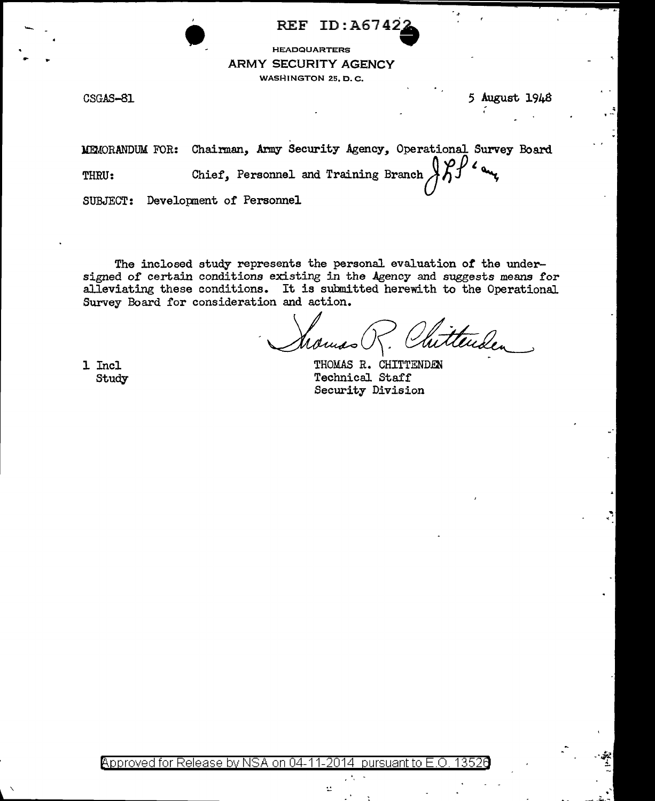REF ID: A67422<br>
HEADQUARTERS<br>
ARMY SECURITY AGENCY HEADQUARTERS ARMY SECURITY AGENCY WASHINGTON 25, D. C.

 $CSGAS-81$  5 August 1948

'

MEMORANDUM FOR: Chairman, Army Security Agency, Operational Survey Board<br>THRU: Chief, Personnel and Training Branch  $\iiint_{\mathcal{J}}$ 

SUBJECT: Development of Personnel

The inclosed study represents the personal evaluation *ot* the undersigned of certain conditions existing in the Agency and suggests means for alleviating these conditions. It is submitted herewith to the Operational. Survey Board for consideration and action.

Momso R. Chitte

1 Incl Study

THOMAS R. CHITTENDEN Technical Staff Security Division

Approved for Release by NSA on 04-11-2014 pursuant to

ś.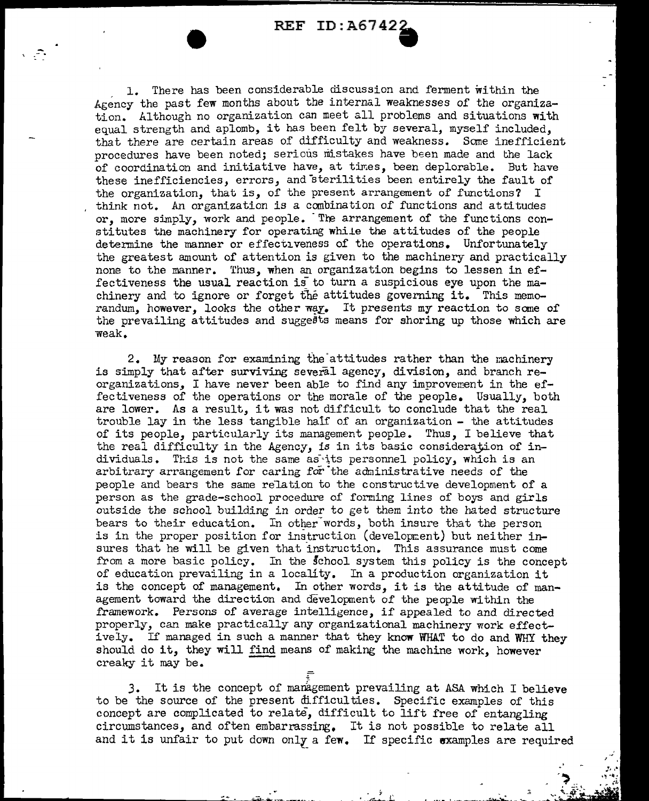REF ID:A6742.

1. There has been considerable discussion and ferment within the Agency the past few months about the internal weaknesses of the organization. Although no organization can meet all problems and situations with equal strength and aplomb, it has been felt by several, myself included, that there are certain areas of difficulty and weakness. Some inefficient procedures have been noted; serious mistakes have been made and the lack of coordination and initiative have, at times, been deplorable. But have these inefficiencies, errors, and sterilities been entirely the fault of the organization, that is, of the present arrangement of functions? <sup>I</sup> think not. An organization is a combination of functions and attitudes or, more simply, work and people. The arrangement of the functions constitutes the machinery for operating while the attitudes of the people determine the manner or effectiveness of the operations. Unfortunately the greatest amount of attention is given to the machinery and practically none to the manner. Thus, when an organization begins to lessen in effectiveness the usual reaction is to turn a suspicious eye upon the machinery and to ignore or forget the attitudes governing it. This memorandum, however, looks the other way. It presents my reaction to some of the prevailing attitudes and suggeBts means for shoring up those which are weak.

2. My reason for examining the attitudes rather than the machinery is simply that after surviving several agency, division, and branch reorganizations, I have never been able to find any improvement in the effectiveness of the operations or the morale of the people. Usually, both are lower. As a result, it was not difficult to conclude that the real trouble lay in the less tangible half of an organization - the attitudes of its people, particularly its management people. Thus, I believe that the real difficulty in the Agency, is in its basic consideration of individuals. This is not the same as its personnel policy, which is an arbitrary arrangement for caring  $f\tilde{or}$  the administrative needs of the people and bears the same relation to the constructive development of a person as the grade-school procedure of forming lines of boys and girls outside the school building in order to get them into the bated structure bears to their education. In other words, both insure that the person is in the proper position for instruction (development) but neither insures that he will be given that instruction. This assurance must come from a more basic policy. In the school system this policy is the concept of education prevailing in a locality. In a production organization it is the concept of management. In other words, it is the attitude of management toward the direction and development of the people within the framework. Persons of average intelligence, if appealed to and directed properly, can make practically any organizational machinery work effectproperty, can make practically any organizational machinery work effect-<br>ively. If managed in such a manner that they know WHAT to do and WHY they ively. If managed in such a manner that they know WHAT to do and WHY should do it, they will find means of making the machine work, however should do it, they will find means of making the machine work, however creaky it may be.

J. It is the concept of management prevailing at ASA which I believe to be the source of the present difficulties. Specific examples of this concept are complicated to relate, difficult to lift free of entangling circumstances, and often embarrassing. It is not possible to relate all and it is unfair to put down only a few. If specific examples are required

 $\frac{1}{2}$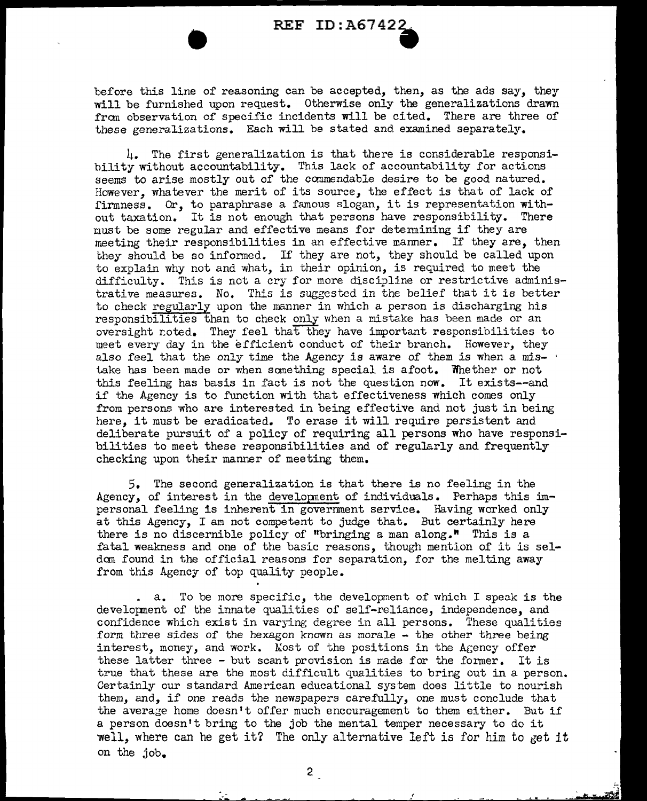before this line of reasoning can be accepted, then, as the ads say, they will be furnished upon request. Otherwise only the generalizations drawn from observation of specific incidents will be cited. There are three of these generalizations. Each will be stated and examined separately.

4. The first generalization is that there is considerable responsibility without accountability. This lack of accountability for actions seems to arise mostly out of the ccmmendable desire to be good natured. However, whatever the merit of its source, the effect is that of lack of firmness. Or, to paraphrase a famous slogan, it is representation without taxation. It is not enough that persons have responsibility. There must be some regular and effective means for determining if they are meeting their responsibilities in an effective manner. If they are, then they should be so informed. If they are not, they should be called upon to explain why not and what, in their opinion, is required to meet the difficulty. This is not a cry for more discipline or restrictive administrative measures. No. This is suggested in the belief that it is better to check regularly upon the manner in which a person is discharging his responsibilities than to check only when a mistake has been made or an oversight noted. They feel that they have important responsibilities to meet every day in the efficient conduct of their branch. However, they also feel that the only time the Agency is aware of them is when a mistake has been made or when sanething special is afoot. Whether or not this feeling has basis in fact is not the question now. It exists--and if the Agency is to function with that effectiveness which comes only from persons who are interested in being effective and not just in being here, it must be eradicated. To erase it will require persistent and deliberate pursuit of a policy of requiring all persons who have responsibilities to meet these responsibilities and of regularly and frequently checking upon their manner of meeting them.

5. The second generalization is that there is no feeling in the Agency, of interest in the development of individuals. Perhaps this impersonal feeling is inherent in government service. Having worked only at this Agency, I am not competent to judge that. But certainly here there is no discernible policy of "bringing a man along." This is a fatal weakness and one of the basic reasons, though mention of it is seldan found in the official reasons for separation, for the melting away from this Agency of top quality people.

a. To be more specific, the development of which I speak is the developnent of the innate qualities of self-reliance, independence, and confidence which exist in varying degree in all persons. These qualities form three sides of the hexagon known as morale - the other three being interest, money, and work. Most of the positions in the Agency offer these latter three  $-$  but scant provision is made for the former. It is true that these are the most difficult qualities to bring out in a person. Certainly our standard American educational system does little to nourish them, and, if one reads the newspapers carefully, one must conclude that the average home doesn't offer much encouragement to them either. But if a person doesn't bring to the job the mental temper necessary to do it well, where can he get it? The only alternative left is for him to get it on the job.

 $\tilde{\cdot}$ 

2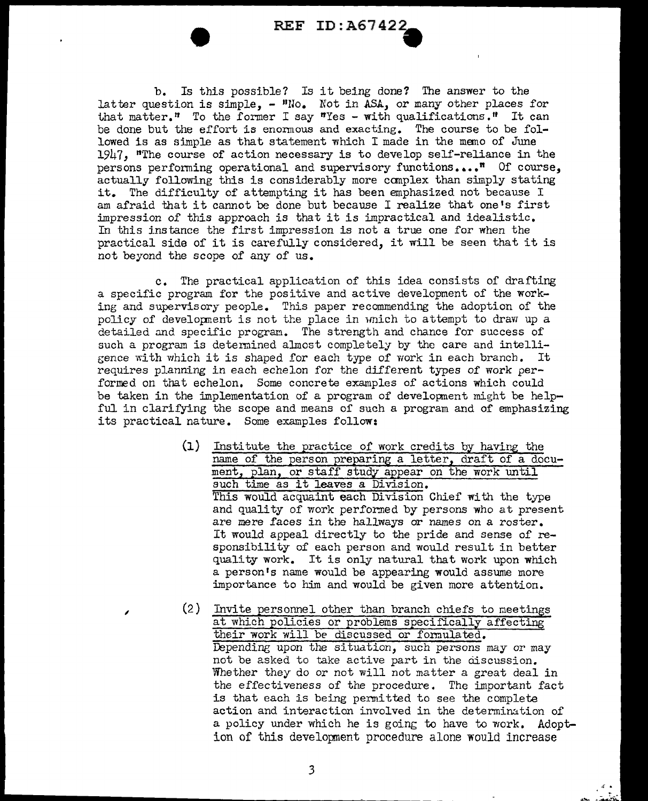b. Is this possible? Is it being done? The answer to the latter question is simple,  $-$  "No. Not in ASA, or many other places for that matter." To the former I say "Yes - with qualifications." It can be done but the effort is enonnous and exacting. The course to be followed is as simple as that statement which I made in the memo of June  $1947$ , "The course of action necessary is to develop self-reliance in the persons performing operational and supervisory functions....<sup>"</sup> Of course, actually following this is considerably more canplex than simply stating it. The difficulty of attempting it has been emphasized not because I am afraid that it cannot be done but because I realize that one's first impression *of* this approach is that it is impractical and idealistic. In this instance the first impression is not a true one for when the practical side of it is carefully considered, it will be seen that it is not beyond the scope of any of us.

c. The practical application of this idea consists of drafting a specific program for the positive and active development of the working and supervisory people. This paper recommending the adoption of the policy of development is not the place in wnich to attempt to draw up a detailed and specific program. The strength and chance for success of such a program is determined almost completely by the care and intelligence with which it is shaped for each type of work in each branch. It requires planning in each echelon for the different types of work performed on that echelon. Some concrete examples of actions which could be taken in the implementation of a program of development might be helpful in clarifying the scope and means of such a program and of emphasizing its practical nature. Some examples follow:

- (1) Institute the practice *of* work credits by having the name of the person preparing a letter, draft of a document, plan, or staff study appear on the work until such time as it leaves *a* Division. This would acquaint each Division Chief with the type and quality of work performed by persons who at present are mere faces in the hallways or names on a roster. It would appeal directly to the pride and sense of responsibility of each person and would result in better quality work. It is only natural that work upon which a person's name would be appearing would assume more :importance to him and would be given more attention.
- (2) Invite personnel other than branch chiefs to raeetings at which policies or problems specifically affecting their work will be discussed or fonnulated. Depending upon the situation, such persons may or may not be asked to take active part in the discussion. Whether they do or not will not matter a great deal in the effectiveness of the procedure. The important fact is that each is being permitted to see the complete action and interaction involved in the determination of a policy under which he is going to have to work. Adoption of this development procedure alone would increase

,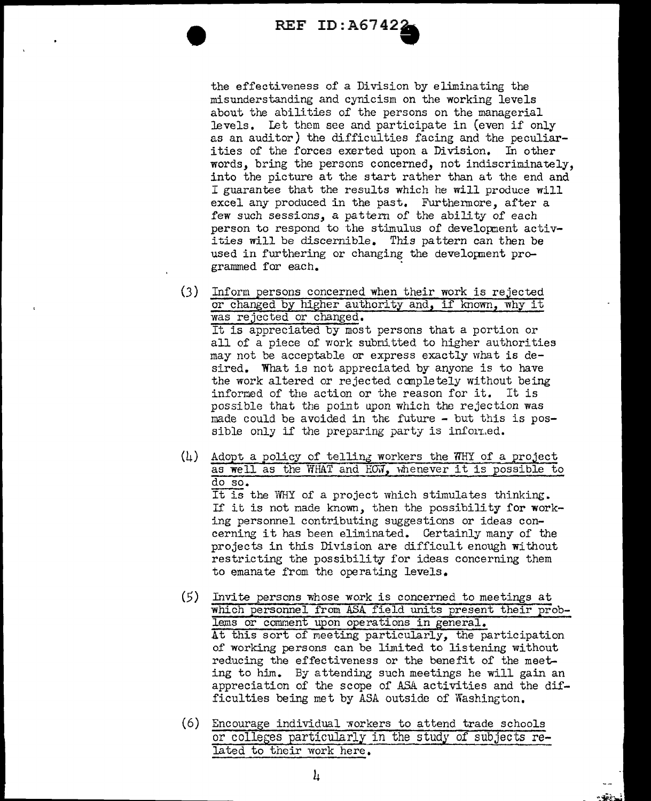REF ID:A6742.

the effectiveness of a Division by eliminating the misunderstanding and cynicism on the working levels about the abilities of the persons on the managerial levels. Let them see and participate in (even if only as an auditor) the difficulties facing and the peculiarities of the forces exerted upon a Division. In other words, bring the persons concerned, not indiscriminately, into the picture at the start rather than at the end and I guarantee that the results which he will produce will excel any produced in the past. Furthermore, after a few such sessions, a pattern of the ability of each person to respond to the stimulus of development activities will be discernible. This pattern can then be used in furthering or changing the developnent programmed for each.

- (3) Inform persons concerned when their work is rejected or changed by higher authority and, if known, why it was rejected or changed. It is appreciated by most persons that a portion or all of a piece of work submitted to higher authorities may not be acceptable or express exactly what is desired. What is not appreciated by anyone is to have the work altered or rejected canpletely without being inforned of the action or the reason for it. It is possible that the point upon which the rejection was made could be avoided in the future  $-$  but this is possible only if the preparing party is informed.
- (4) Adopt a policy of telling workers the WHY of a project as well as the WHAT and *HOM*, whenever it is possible to do so. It is the WHY of a project which stimulates thinking. If it is not nade known, then the possibility for working personnel contributing suggestions or ideas concerning it has been eliminated. Certainly many of the projects in this Division are difficult enough without restricting the possibility for ideas concerning them
- *(5)* Invite persons whose work is concerned to meetings at which personnel from ASA field units present their problems or comment upon operations in general. At this sort of meeting particularly, the participation of working persons can be limited to listening without reducing the effectiveness or the benefit of the meeting to him. By attending such meetings he will gain an appreciation of the scope of ASA activities and the difficulties being wet by ASA outside of Washington.
- (6) Encourage individual ~orkers to attend trade schools or colleges particularly in the study of subjects related to their work here.

. der

to emanate from the operating levels.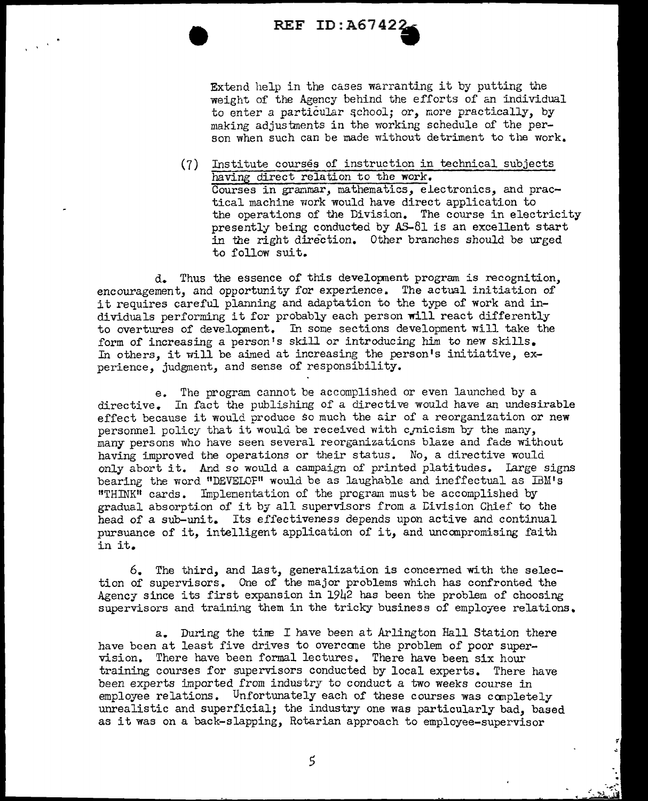

Extend help in the cases warranting it by putting the weight of the Agency behind the efforts of an individual to enter a particular qchool; or, more practically, by making adjustments in the working schedule of the person when such can be made without detriment to the work.

(7) Institute courses of instruction in technical subjects having direct relation to the work. Courses in granmar, mathematics, electronics, and practical machine work would have direct application to the operations of the Division. The course in electricity presently being conducted by AS-81 is an excellent start in the right direction. Other branches should be urged to fallow suit.

d. Thus the essence of this developnent program is recognition, encouragement, and opportunity for experience. The actual initiation of it requires careful planning and adaptation to the type of work and individuals performing it for probably each person **will** react differently to overtures of development. In some sections development will take the form of increasing a person's skill or introducing him to new skills. In others, it will be aimed at increasing the person's initiative, experience, judgment, and sense of responsibility.

e. The program cannot be accomplished or even launched by a directive. In fact the publishing of a directive would have an undesirable effect because it would produce so much the air of a reorganization or new personnel policy that it would be received with c<sub>ornicism</sub> by the many, many persons who have seen several reorganizations blaze and fade without having improved the operations or their status. No, a directive would only abort it. And so would a campaign of printed platitudes. large signs bearing the word "DEVELOF" would be as laughable and ineffectual as IBM's <sup>11</sup>THINK" cards. Implenentation of the program must be accomplished by gradual absorption of it by all supervisors from a tivision Chief to the head of a sub-unit. Its effectiveness depends upon active and continual pursuance of it, intelligent application of it, and unccmpromising faith in it.

6. The third, and last, generalization is concerned with the selection of supervisors. One of the major problems which has confronted the Agency since its first expansion in  $1942$  has been the problem of choosing supervisors and training them in the tricky business of employee relations.

a. During the tine I have been at Arlington Hall Station there have been at least five drives to overcane the problem of poor supervision. There have been formal lectures. There have been six hour training courses for supervisors conducted by local experts. There have been experts imported from industry to conduct a two weeks course in employee relations. Unfortunately each of these courses was completely unrealistic and superficial; the industry one was particularly bad, based as it was on a back-slapping, Rotarian approach to employee-supervisor

5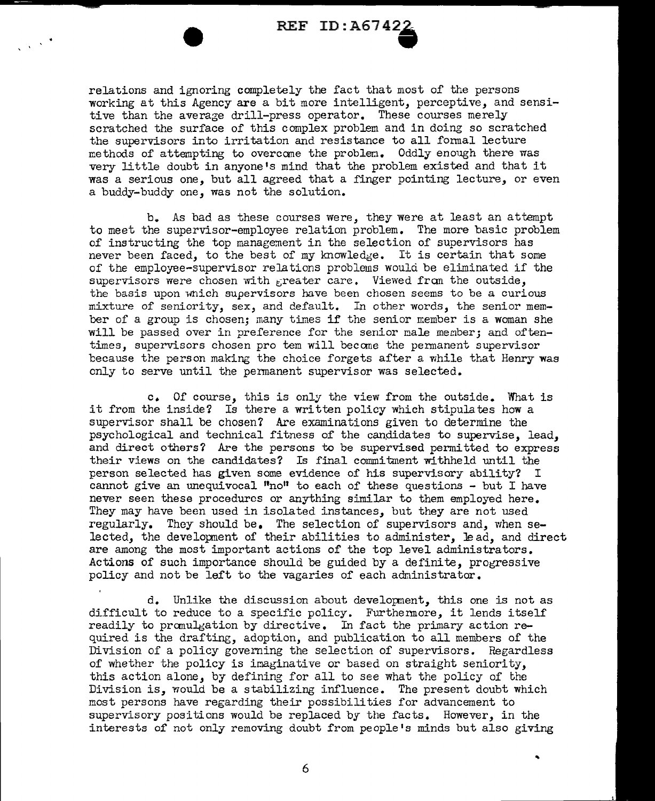REF ID : A67 42.

relations and ignoring completely the fact that most of the persons working at this Agency are a bit more intelligent, perceptive, and sensitive than the average drill-press operator. These courses merely scratched the surface of this complex problem and in doing so scratched the supervisors into irritation and resistance to all fonnal lecture methods of attempting to overcane the problen. Oddly enough there was very little doubt in anyone's mind that the problem existed and that it was a serious one, but all agreed that a finger pointing lecture, or even a buddy-buddy one, was not the solution.

b.. As bad as these courses were, they were at least an attempt to meet the supervisor-employee relation problem. The more basic problem of instructing the top management in the selection of supervisors has never been faced, to the best of my knowledge. It is certain that some of the employee-supervisor relations problems would be eliminated if the supervisors were chosen with greater care. Viewed from the outside, the basis upon which supervisors have been chosen seems to be a curious mixture of seniority, sex, and default. In other words, the senior member of a group is chosen; many times if the senior member is a woman she will be passed over in preference for the senior male member; and oftentimes, supervisors chosen pro tem will becane the permanent supervisor because the person making the choice forgets after a while that Henry was only to serve until the permanent supervisor was selected.

c. Of course, this is only the view from the outside. What is it from the inside? Is there a written policy which stipulates how a supervisor shall be chosen? Are examinations given to determine the psychological and technical fitness of the candidates to supervise, lead, and direct others? Are the persons to be supervised permitted to express their views on the candidates? Is final commitment withheld until the person selected has given some evidence of his supervisory ability? I cannot give an unequivocal  $\mathbf{u}_0$ <sup>n</sup> to each of these questions - but I have never seen these procedures or anything similar to them employed here. They may have been used in isolated instances, but they are not used regularly. They should be. The selection of supervisors and, when selected, the developnent of their abilities to administer, Je ad, and direct are among the most important actions of the top level administrators. Actions of such importance should be guided by a definite, progressive policy and not be left to the vagaries of each administrator.

d. Unlike the discussion about developnent, this one is not as difficult to reduce to a specific policy. Furthermore, it lends itself readily to pranulgation by directive. In fact the primary action required is the drafting, adoption, and publication to all members of the Division of a policy governing the selection of supervisors. Regardless of whether the policy is imaginative or based on straight seniority. this action alone, by defining for all to see what the policy of the Division is, would be a stabilizing influence. The present doubt which most persons have regarding their possibilities for advancement to supervisory positions would be replaced by the facts. However, in the interests of not only removing doubt from people's minds but also giving

..

6